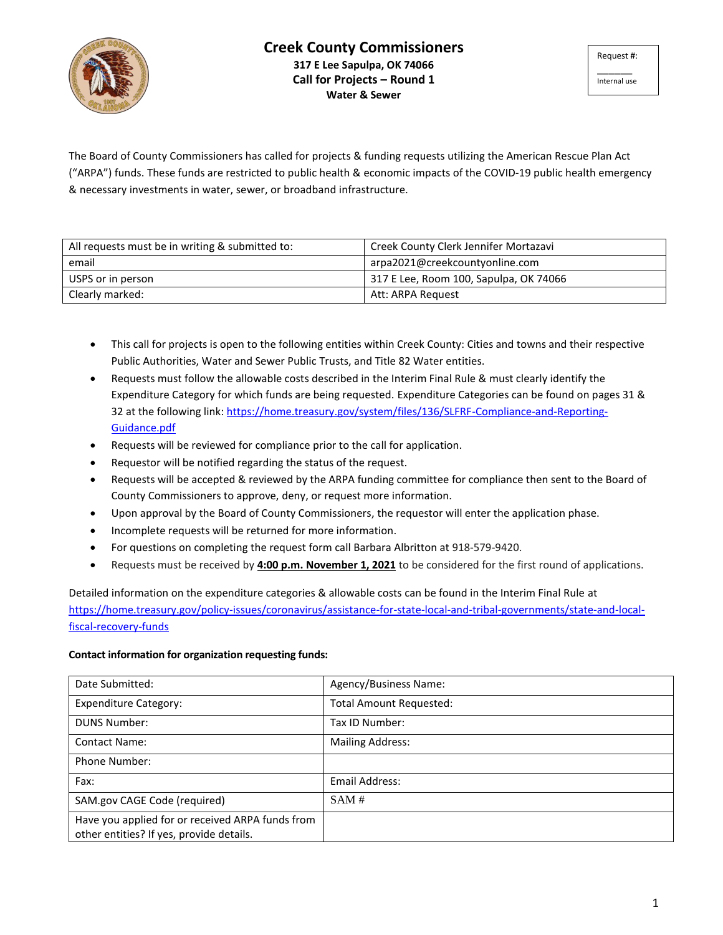

The Board of County Commissioners has called for projects & funding requests utilizing the American Rescue Plan Act ("ARPA") funds. These funds are restricted to public health & economic impacts of the COVID-19 public health emergency & necessary investments in water, sewer, or broadband infrastructure.

| All requests must be in writing & submitted to: | Creek County Clerk Jennifer Mortazavi  |
|-------------------------------------------------|----------------------------------------|
| email                                           | arpa2021@creekcountyonline.com         |
| USPS or in person                               | 317 E Lee, Room 100, Sapulpa, OK 74066 |
| Clearly marked:                                 | Att: ARPA Request                      |

- This call for projects is open to the following entities within Creek County: Cities and towns and their respective Public Authorities, Water and Sewer Public Trusts, and Title 82 Water entities.
- Requests must follow the allowable costs described in the Interim Final Rule & must clearly identify the Expenditure Category for which funds are being requested. Expenditure Categories can be found on pages 31 & 32 at the following link: [https://home.treasury.gov/system/files/136/SLFRF-Compliance-and-Reporting-](https://home.treasury.gov/system/files/136/SLFRF-Compliance-and-Reporting-Guidance.pdf)[Guidance.pdf](https://home.treasury.gov/system/files/136/SLFRF-Compliance-and-Reporting-Guidance.pdf)
- Requests will be reviewed for compliance prior to the call for application.
- Requestor will be notified regarding the status of the request.
- Requests will be accepted & reviewed by the ARPA funding committee for compliance then sent to the Board of County Commissioners to approve, deny, or request more information.
- Upon approval by the Board of County Commissioners, the requestor will enter the application phase.
- Incomplete requests will be returned for more information.
- For questions on completing the request form call Barbara Albritton at 918-579-9420.
- Requests must be received by **4:00 p.m. November 1, 2021** to be considered for the first round of applications.

Detailed information on the expenditure categories & allowable costs can be found in the Interim Final Rule at [https://home.treasury.gov/policy-issues/coronavirus/assistance-for-state-local-and-tribal-governments/state-and-local](https://home.treasury.gov/policy-issues/coronavirus/assistance-for-state-local-and-tribal-governments/state-and-local-fiscal-recovery-funds)[fiscal-recovery-funds](https://home.treasury.gov/policy-issues/coronavirus/assistance-for-state-local-and-tribal-governments/state-and-local-fiscal-recovery-funds)

## **Contact information for organization requesting funds:**

| Date Submitted:                                                                              | Agency/Business Name:          |
|----------------------------------------------------------------------------------------------|--------------------------------|
| <b>Expenditure Category:</b>                                                                 | <b>Total Amount Requested:</b> |
| <b>DUNS Number:</b>                                                                          | Tax ID Number:                 |
| <b>Contact Name:</b>                                                                         | <b>Mailing Address:</b>        |
| Phone Number:                                                                                |                                |
| Fax:                                                                                         | Email Address:                 |
| SAM.gov CAGE Code (required)                                                                 | SAM#                           |
| Have you applied for or received ARPA funds from<br>other entities? If yes, provide details. |                                |